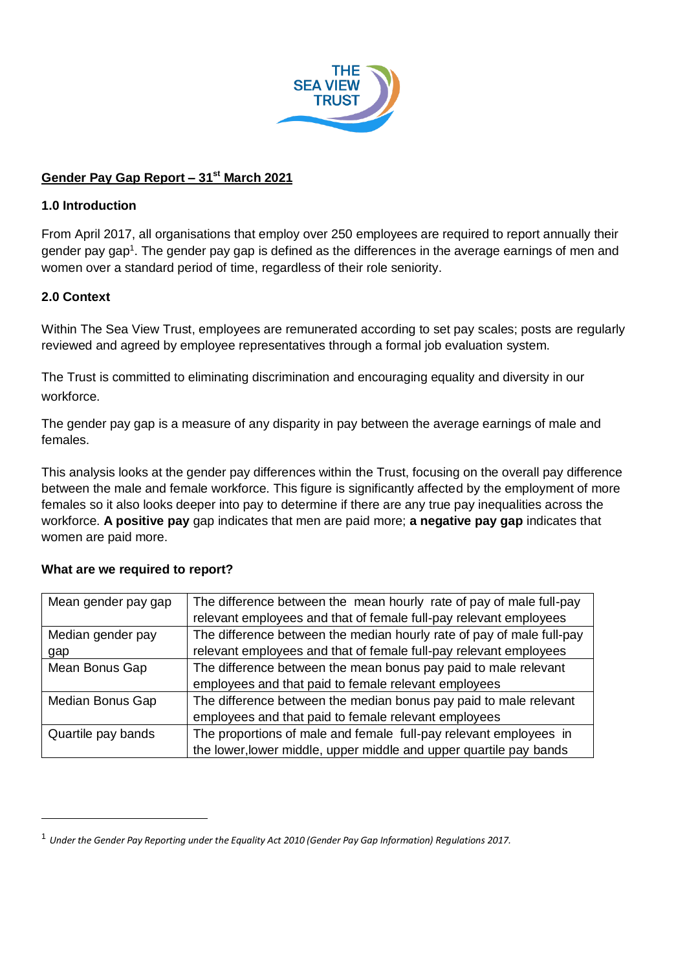

# **Gender Pay Gap Report – 31st March 2021**

### **1.0 Introduction**

From April 2017, all organisations that employ over 250 employees are required to report annually their gender pay gap<sup>1</sup>. The gender pay gap is defined as the differences in the average earnings of men and women over a standard period of time, regardless of their role seniority.

# **2.0 Context**

-

Within The Sea View Trust, employees are remunerated according to set pay scales; posts are regularly reviewed and agreed by employee representatives through a formal job evaluation system.

The Trust is committed to eliminating discrimination and encouraging equality and diversity in our workforce.

The gender pay gap is a measure of any disparity in pay between the average earnings of male and females.

This analysis looks at the gender pay differences within the Trust, focusing on the overall pay difference between the male and female workforce. This figure is significantly affected by the employment of more females so it also looks deeper into pay to determine if there are any true pay inequalities across the workforce. **A positive pay** gap indicates that men are paid more; **a negative pay gap** indicates that women are paid more.

| Mean gender pay gap | The difference between the mean hourly rate of pay of male full-pay   |  |  |  |
|---------------------|-----------------------------------------------------------------------|--|--|--|
|                     | relevant employees and that of female full-pay relevant employees     |  |  |  |
| Median gender pay   | The difference between the median hourly rate of pay of male full-pay |  |  |  |
| gap                 | relevant employees and that of female full-pay relevant employees     |  |  |  |
| Mean Bonus Gap      | The difference between the mean bonus pay paid to male relevant       |  |  |  |
|                     | employees and that paid to female relevant employees                  |  |  |  |
| Median Bonus Gap    | The difference between the median bonus pay paid to male relevant     |  |  |  |
|                     | employees and that paid to female relevant employees                  |  |  |  |
| Quartile pay bands  | The proportions of male and female full-pay relevant employees in     |  |  |  |
|                     | the lower, lower middle, upper middle and upper quartile pay bands    |  |  |  |

### **What are we required to report?**

<sup>1</sup> *Under the Gender Pay Reporting under the Equality Act 2010 (Gender Pay Gap Information) Regulations 2017.*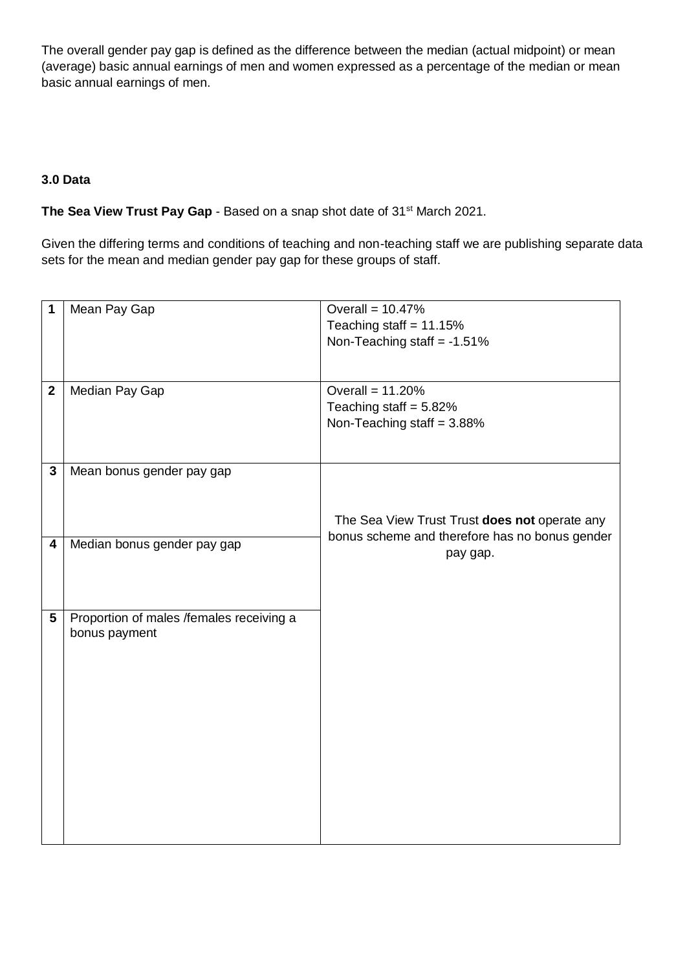The overall gender pay gap is defined as the difference between the median (actual midpoint) or mean (average) basic annual earnings of men and women expressed as a percentage of the median or mean basic annual earnings of men.

## **3.0 Data**

## **The Sea View Trust Pay Gap** - Based on a snap shot date of 31st March 2021.

Given the differing terms and conditions of teaching and non-teaching staff we are publishing separate data sets for the mean and median gender pay gap for these groups of staff.

| 1            | Mean Pay Gap                             | Overall = $10.47%$                             |  |  |  |
|--------------|------------------------------------------|------------------------------------------------|--|--|--|
|              |                                          | Teaching staff = $11.15%$                      |  |  |  |
|              |                                          | Non-Teaching staff = $-1.51\%$                 |  |  |  |
|              |                                          |                                                |  |  |  |
|              |                                          |                                                |  |  |  |
| $\mathbf{2}$ | Median Pay Gap                           | Overall = $11.20%$                             |  |  |  |
|              |                                          | Teaching staff = $5.82\%$                      |  |  |  |
|              |                                          | Non-Teaching staff = $3.88\%$                  |  |  |  |
|              |                                          |                                                |  |  |  |
|              |                                          |                                                |  |  |  |
| $\mathbf{3}$ | Mean bonus gender pay gap                |                                                |  |  |  |
|              |                                          |                                                |  |  |  |
|              |                                          |                                                |  |  |  |
|              |                                          | The Sea View Trust Trust does not operate any  |  |  |  |
| 4            | Median bonus gender pay gap              | bonus scheme and therefore has no bonus gender |  |  |  |
|              |                                          | pay gap.                                       |  |  |  |
|              |                                          |                                                |  |  |  |
|              |                                          |                                                |  |  |  |
| 5            | Proportion of males /females receiving a |                                                |  |  |  |
|              | bonus payment                            |                                                |  |  |  |
|              |                                          |                                                |  |  |  |
|              |                                          |                                                |  |  |  |
|              |                                          |                                                |  |  |  |
|              |                                          |                                                |  |  |  |
|              |                                          |                                                |  |  |  |
|              |                                          |                                                |  |  |  |
|              |                                          |                                                |  |  |  |
|              |                                          |                                                |  |  |  |
|              |                                          |                                                |  |  |  |
|              |                                          |                                                |  |  |  |
|              |                                          |                                                |  |  |  |
|              |                                          |                                                |  |  |  |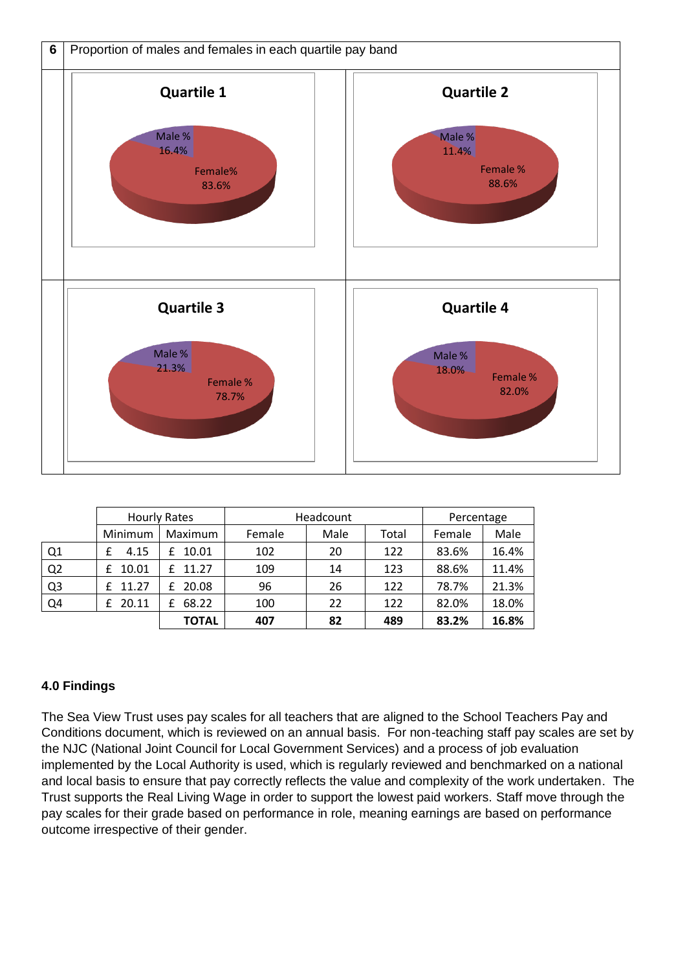

|                | <b>Hourly Rates</b> |              | Headcount |      |       | Percentage |       |
|----------------|---------------------|--------------|-----------|------|-------|------------|-------|
|                | Minimum             | Maximum      | Female    | Male | Total | Female     | Male  |
| Q1             | 4.15                | 10.01<br>£   | 102       | 20   | 122   | 83.6%      | 16.4% |
| Q2             | 10.01               | 11.27<br>f.  | 109       | 14   | 123   | 88.6%      | 11.4% |
| Q <sub>3</sub> | 11.27               | 20.08<br>£   | 96        | 26   | 122   | 78.7%      | 21.3% |
| Q <sub>4</sub> | 20.11<br>f          | 68.22        | 100       | 22   | 122   | 82.0%      | 18.0% |
|                |                     | <b>TOTAL</b> | 407       | 82   | 489   | 83.2%      | 16.8% |

# **4.0 Findings**

The Sea View Trust uses pay scales for all teachers that are aligned to the School Teachers Pay and Conditions document, which is reviewed on an annual basis. For non-teaching staff pay scales are set by the NJC (National Joint Council for Local Government Services) and a process of job evaluation implemented by the Local Authority is used, which is regularly reviewed and benchmarked on a national and local basis to ensure that pay correctly reflects the value and complexity of the work undertaken. The Trust supports the Real Living Wage in order to support the lowest paid workers. Staff move through the pay scales for their grade based on performance in role, meaning earnings are based on performance outcome irrespective of their gender.